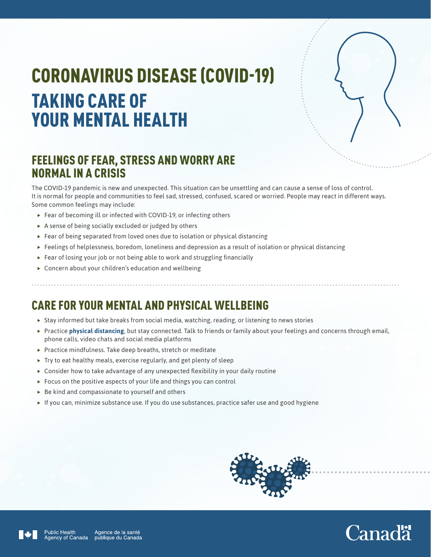# CORONAVIRUS DISEASE (COVID-19) TAKING CARE OF YOUR MENTAL HEALTH



### FEELINGS OF FEAR, STRESS AND WORRY ARE NORMAL IN A CRISIS

The COVID-19 pandemic is new and unexpected. This situation can be unsettling and can cause a sense of loss of control. It is normal for people and communities to feel sad, stressed, confused, scared or worried. People may react in different ways. Some common feelings may include:

- $\blacktriangleright$  Fear of becoming ill or infected with COVID-19, or infecting others
- $\triangleright$  A sense of being socially excluded or judged by others
- $\blacktriangleright$  Fear of being separated from loved ones due to isolation or physical distancing
- $\triangleright$  Feelings of helplessness, boredom, loneliness and depression as a result of isolation or physical distancing
- $\blacktriangleright$  Fear of losing your job or not being able to work and struggling financially
- $\triangleright$  Concern about your children's education and wellbeing

# CARE FOR YOUR MENTAL AND PHYSICAL WELLBEING

- $\triangleright$  Stay informed but take breaks from social media, watching, reading, or listening to news stories
- **Practice [physical distancing](https://www.canada.ca/en/public-health/services/publications/diseases-conditions/social-distancing.html)**, but stay connected. Talk to friends or family about your feelings and concerns through email, phone calls, video chats and social media platforms
- $\blacktriangleright$  Practice mindfulness. Take deep breaths, stretch or meditate
- $\triangleright$  Try to eat healthy meals, exercise regularly, and get plenty of sleep
- $\triangleright$  Consider how to take advantage of any unexpected flexibility in your daily routine
- $\triangleright$  Focus on the positive aspects of your life and things you can control
- $\blacktriangleright$  Be kind and compassionate to yourself and others
- $\blacktriangleright$  If you can, minimize substance use. If you do use substances, [practice safer use and good hygiene](https://harmreduction.org/miscellaneous/covid-19-guidance-for-people-who-use-drugs-and-harm-reduction-programs/)